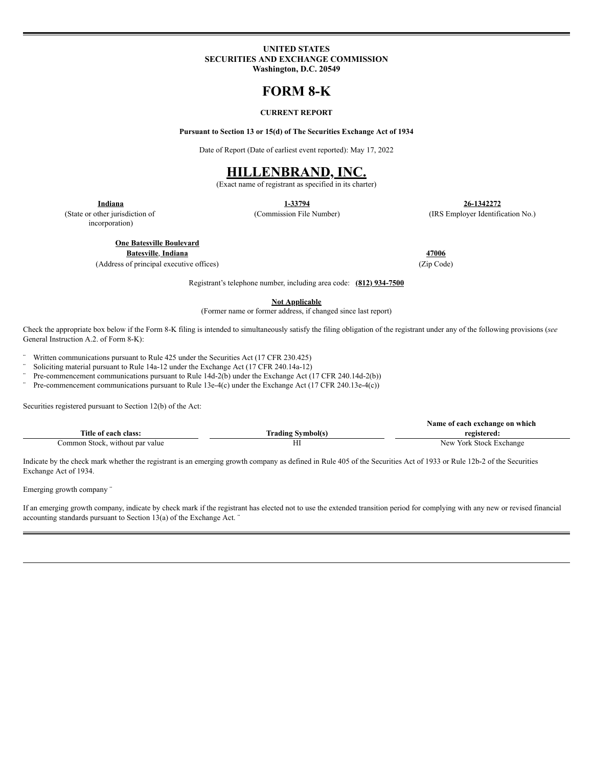### **UNITED STATES SECURITIES AND EXCHANGE COMMISSION Washington, D.C. 20549**

# **FORM 8-K**

## **CURRENT REPORT**

**Pursuant to Section 13 or 15(d) of The Securities Exchange Act of 1934**

Date of Report (Date of earliest event reported): May 17, 2022

## **HILLENBRAND, INC.**

(Exact name of registrant as specified in its charter)

**Indiana 1-33794 26-1342272**

(Commission File Number) (IRS Employer Identification No.)

(State or other jurisdiction of incorporation)

**One Batesville Boulevard**

**Batesville**, **Indiana 47006**

(Address of principal executive offices) (Zip Code)

Registrant's telephone number, including area code: **(812) 934-7500**

**Not Applicable**

(Former name or former address, if changed since last report)

Check the appropriate box below if the Form 8-K filing is intended to simultaneously satisfy the filing obligation of the registrant under any of the following provisions (*see* General Instruction A.2. of Form 8-K):

¨ Written communications pursuant to Rule 425 under the Securities Act (17 CFR 230.425)

 $\degree$  Soliciting material pursuant to Rule 14a-12 under the Exchange Act (17 CFR 240.14a-12)<br> $\degree$  Pro commencement communications pursuant to Pulo 14d 2(b) under the Exchange Act (

Pre-commencement communications pursuant to Rule 14d-2(b) under the Exchange Act (17 CFR 240.14d-2(b))

Pre-commencement communications pursuant to Rule 13e-4(c) under the Exchange Act (17 CFR 240.13e-4(c))

Securities registered pursuant to Section 12(b) of the Act:

|                                    |                           | Name of each exchange on which  |
|------------------------------------|---------------------------|---------------------------------|
| Title of each class:               | man i<br>rading Symbol(s) | registered:                     |
| `ommon Stock.<br>without par value | ,,,                       | York Stock +<br>Exchange<br>New |

Indicate by the check mark whether the registrant is an emerging growth company as defined in Rule 405 of the Securities Act of 1933 or Rule 12b-2 of the Securities Exchange Act of 1934.

Emerging growth company ¨

If an emerging growth company, indicate by check mark if the registrant has elected not to use the extended transition period for complying with any new or revised financial accounting standards pursuant to Section 13(a) of the Exchange Act. ¨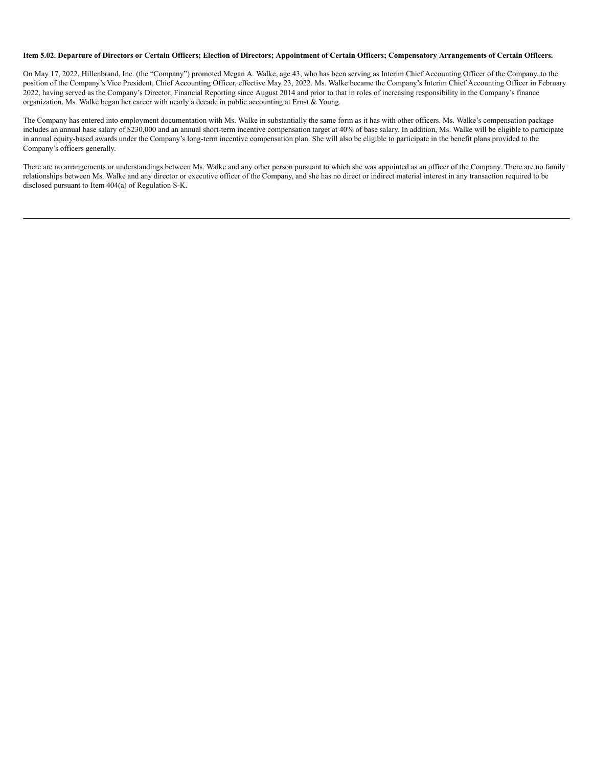#### Item 5.02. Departure of Directors or Certain Officers; Election of Directors; Appointment of Certain Officers; Compensatory Arrangements of Certain Officers.

On May 17, 2022, Hillenbrand, Inc. (the "Company") promoted Megan A. Walke, age 43, who has been serving as Interim Chief Accounting Officer of the Company, to the position of the Company's Vice President, Chief Accounting Officer, effective May 23, 2022. Ms. Walke became the Company's Interim Chief Accounting Officer in February 2022, having served as the Company's Director, Financial Reporting since August 2014 and prior to that in roles of increasing responsibility in the Company's finance organization. Ms. Walke began her career with nearly a decade in public accounting at Ernst & Young.

The Company has entered into employment documentation with Ms. Walke in substantially the same form as it has with other officers. Ms. Walke's compensation package includes an annual base salary of \$230,000 and an annual short-term incentive compensation target at 40% of base salary. In addition, Ms. Walke will be eligible to participate in annual equity-based awards under the Company's long-term incentive compensation plan. She will also be eligible to participate in the benefit plans provided to the Company's officers generally.

There are no arrangements or understandings between Ms. Walke and any other person pursuant to which she was appointed as an officer of the Company. There are no family relationships between Ms. Walke and any director or executive officer of the Company, and she has no direct or indirect material interest in any transaction required to be disclosed pursuant to Item 404(a) of Regulation S-K.